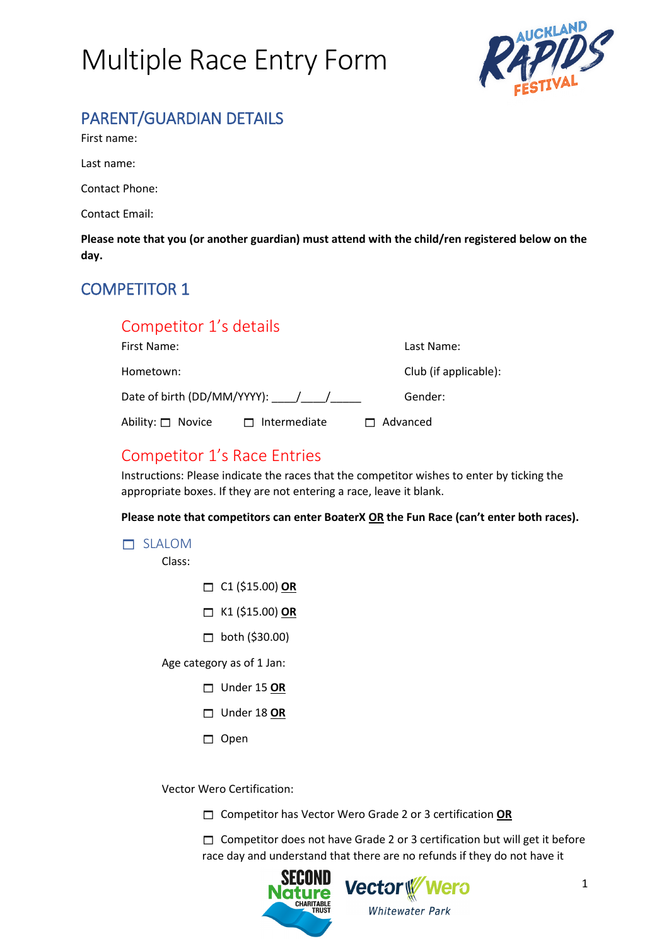

# PARENT/GUARDIAN DETAILS

First name:

Last name:

Contact Phone:

Contact Email:

**Please note that you (or another guardian) must attend with the child/ren registered below on the day.**

## COMPETITOR 1

## Competitor 1's details

| First Name:                     |                     | Last Name:            |
|---------------------------------|---------------------|-----------------------|
| Hometown:                       |                     | Club (if applicable): |
| Date of birth (DD/MM/YYYY): / / |                     | Gender:               |
| Ability: □ Novice               | $\Box$ Intermediate | $\Box$ Advanced       |

## Competitor 1's Race Entries

Instructions: Please indicate the races that the competitor wishes to enter by ticking the appropriate boxes. If they are not entering a race, leave it blank.

**Please note that competitors can enter BoaterX OR the Fun Race (can't enter both races).**

|  | SLALOM |  |
|--|--------|--|
|  |        |  |

Class:

- C1 (\$15.00) **OR**
- K1 (\$15.00) **OR**
- $\Box$  both (\$30.00)

Age category as of 1 Jan:

- Under 15 **OR**
- Under 18 **OR**
- $\Box$  Open

Vector Wero Certification:

Competitor has Vector Wero Grade 2 or 3 certification **OR**

 $\Box$  Competitor does not have Grade 2 or 3 certification but will get it before race day and understand that there are no refunds if they do not have it

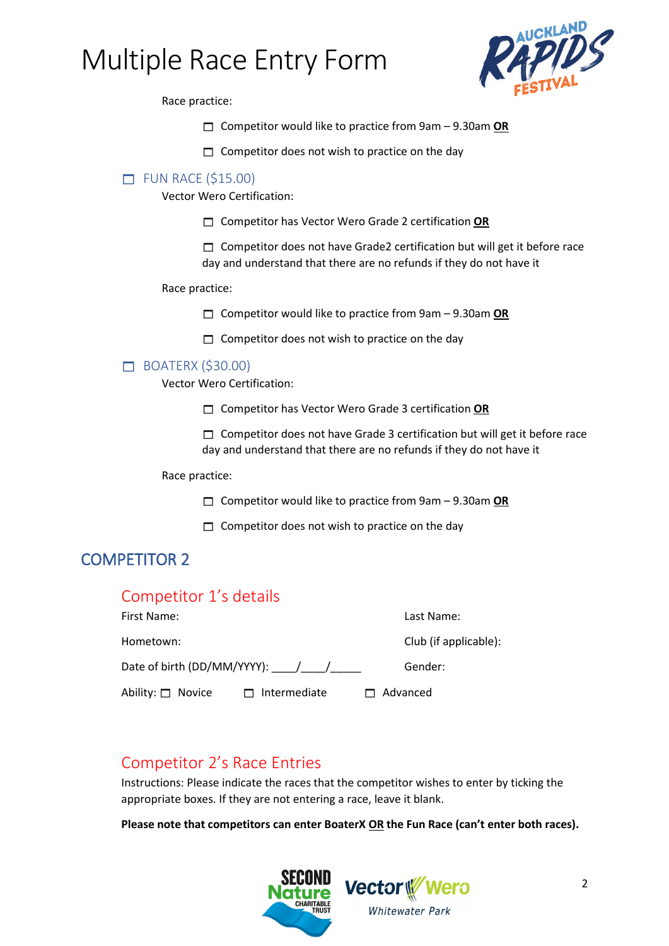

Race practice:

- Competitor would like to practice from 9am 9.30am **OR**
- $\Box$  Competitor does not wish to practice on the day

### $\Box$  FUN RACE (\$15.00)

Vector Wero Certification:

Competitor has Vector Wero Grade 2 certification **OR**

 $\Box$  Competitor does not have Grade2 certification but will get it before race day and understand that there are no refunds if they do not have it

#### Race practice:

Competitor would like to practice from 9am – 9.30am **OR**

 $\Box$  Competitor does not wish to practice on the day

## $\Box$  BOATERX (\$30.00)

Vector Wero Certification:

Competitor has Vector Wero Grade 3 certification **OR**

 $\Box$  Competitor does not have Grade 3 certification but will get it before race day and understand that there are no refunds if they do not have it

Race practice:

Competitor would like to practice from 9am – 9.30am **OR**

 $\Box$  Competitor does not wish to practice on the day

## COMPETITOR 2

| Competitor 1's details |                                                  |                       |
|------------------------|--------------------------------------------------|-----------------------|
| First Name:            |                                                  | Last Name:            |
| Hometown:              |                                                  | Club (if applicable): |
|                        | Date of birth (DD/MM/YYYY): $\frac{1}{\sqrt{2}}$ | Gender:               |
| Ability: $\Box$ Novice | Intermediate                                     | $\Box$ Advanced       |

## Competitor 2's Race Entries

Instructions: Please indicate the races that the competitor wishes to enter by ticking the appropriate boxes. If they are not entering a race, leave it blank.

**Please note that competitors can enter BoaterX OR the Fun Race (can't enter both races).**

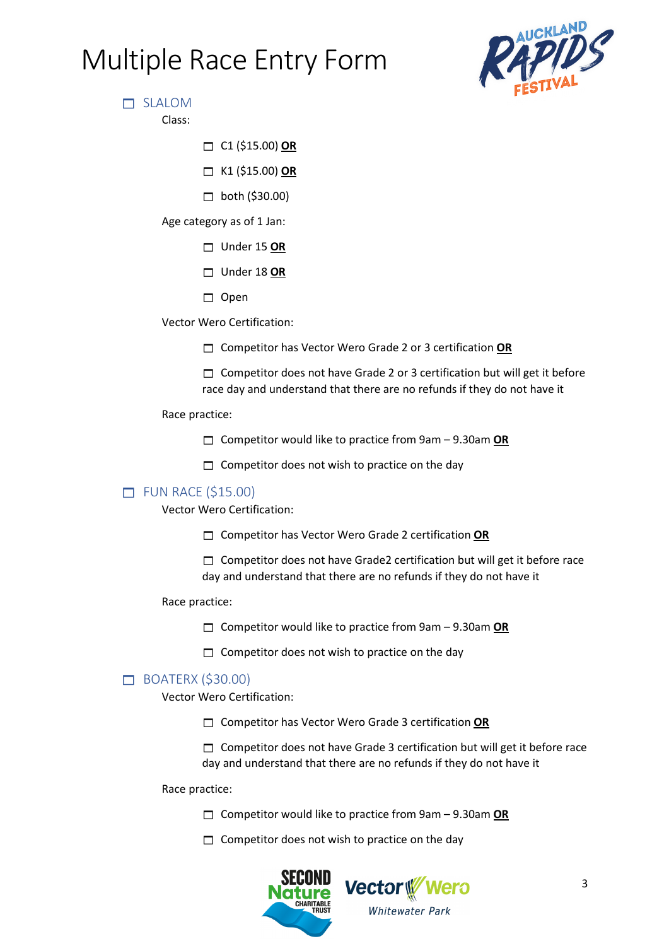

SLALOM

Class:

C1 (\$15.00) **OR**

K1 (\$15.00) **OR**

 $\Box$  both (\$30.00)

Age category as of 1 Jan:

- Under 15 **OR**
- Under 18 **OR**
- $\Box$  Open

Vector Wero Certification:

Competitor has Vector Wero Grade 2 or 3 certification **OR**

 $\Box$  Competitor does not have Grade 2 or 3 certification but will get it before race day and understand that there are no refunds if they do not have it

#### Race practice:

- Competitor would like to practice from 9am 9.30am **OR**
- $\Box$  Competitor does not wish to practice on the day

## $\Box$  FUN RACE (\$15.00)

Vector Wero Certification:

- Competitor has Vector Wero Grade 2 certification **OR**
- $\Box$  Competitor does not have Grade2 certification but will get it before race day and understand that there are no refunds if they do not have it

Race practice:

- Competitor would like to practice from 9am 9.30am **OR**
- $\Box$  Competitor does not wish to practice on the day

## **BOATERX (\$30.00)**

Vector Wero Certification:

Competitor has Vector Wero Grade 3 certification **OR**

 $\Box$  Competitor does not have Grade 3 certification but will get it before race day and understand that there are no refunds if they do not have it

Race practice:

- Competitor would like to practice from 9am 9.30am **OR**
- $\Box$  Competitor does not wish to practice on the day

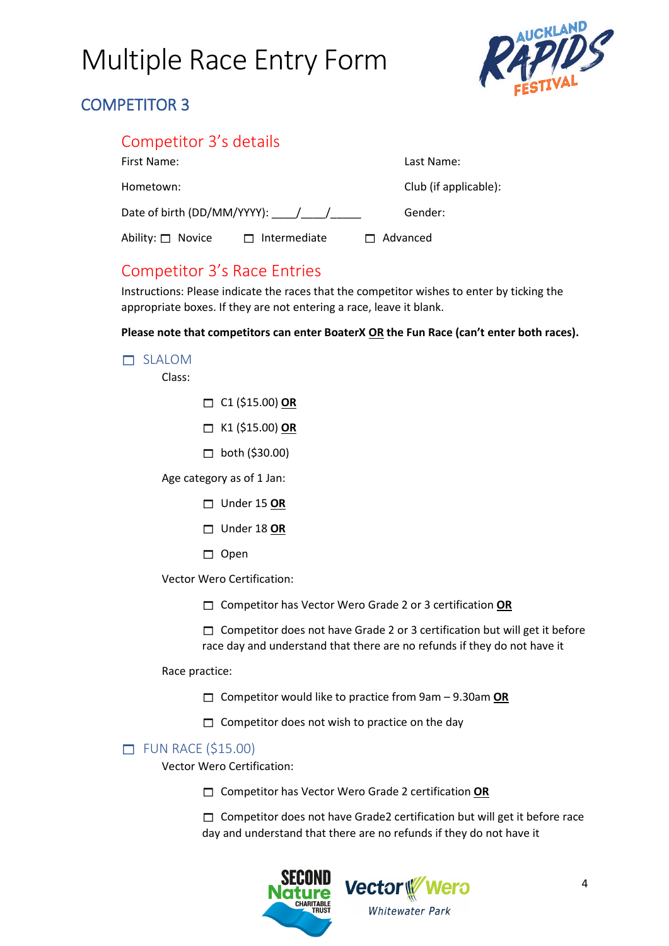

# COMPETITOR 3

## Competitor 3's details

| First Name:                     |                     | Last Name:            |
|---------------------------------|---------------------|-----------------------|
| Hometown:                       |                     | Club (if applicable): |
| Date of birth (DD/MM/YYYY): / / |                     | Gender:               |
| Ability: □ Novice               | $\Box$ Intermediate | $\Box$ Advanced       |

## Competitor 3's Race Entries

Instructions: Please indicate the races that the competitor wishes to enter by ticking the appropriate boxes. If they are not entering a race, leave it blank.

**Please note that competitors can enter BoaterX OR the Fun Race (can't enter both races).**

### SLALOM

Class:

- C1 (\$15.00) **OR**
- K1 (\$15.00) **OR**
- $\Box$  both (\$30.00)

Age category as of 1 Jan:

- Under 15 **OR**
- Under 18 **OR**
- $\Box$  Open

Vector Wero Certification:

Competitor has Vector Wero Grade 2 or 3 certification **OR**

 $\Box$  Competitor does not have Grade 2 or 3 certification but will get it before race day and understand that there are no refunds if they do not have it

Race practice:

- Competitor would like to practice from 9am 9.30am **OR**
- $\Box$  Competitor does not wish to practice on the day

## $\Box$  FUN RACE (\$15.00)

Vector Wero Certification:

Competitor has Vector Wero Grade 2 certification **OR**

□ Competitor does not have Grade2 certification but will get it before race day and understand that there are no refunds if they do not have it